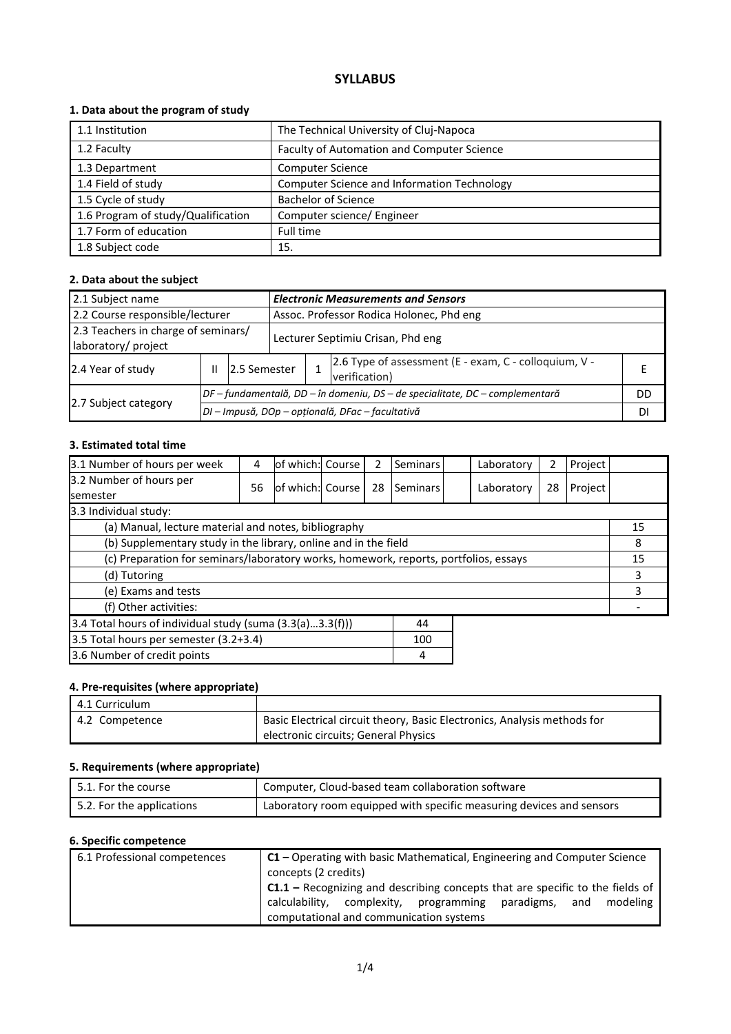### **SYLLABUS**

### **1. Data about the program of study**

| 1.1 Institution                    | The Technical University of Cluj-Napoca            |
|------------------------------------|----------------------------------------------------|
| 1.2 Faculty                        | Faculty of Automation and Computer Science         |
| 1.3 Department                     | <b>Computer Science</b>                            |
| 1.4 Field of study                 | <b>Computer Science and Information Technology</b> |
| 1.5 Cycle of study                 | <b>Bachelor of Science</b>                         |
| 1.6 Program of study/Qualification | Computer science/ Engineer                         |
| 1.7 Form of education              | Full time                                          |
| 1.8 Subject code                   | 15.                                                |

### **2. Data about the subject**

| <b>Electronic Measurements and Sensors</b><br>2.1 Subject name |   |                                                  |                                                                              |                                          |                                                       |    |  |
|----------------------------------------------------------------|---|--------------------------------------------------|------------------------------------------------------------------------------|------------------------------------------|-------------------------------------------------------|----|--|
| 2.2 Course responsible/lecturer                                |   |                                                  |                                                                              | Assoc. Professor Rodica Holonec, Phd eng |                                                       |    |  |
| 2.3 Teachers in charge of seminars/<br>laboratory/ project     |   |                                                  |                                                                              | Lecturer Septimiu Crisan, Phd eng        |                                                       |    |  |
| 2.4 Year of study                                              | Ш | 2.5 Semester                                     | verification)                                                                |                                          | 2.6 Type of assessment (E - exam, C - colloquium, V - |    |  |
|                                                                |   |                                                  | DF – fundamentală, DD – în domeniu, DS – de specialitate, DC – complementară |                                          |                                                       | DD |  |
| 2.7 Subject category                                           |   | DI - Impusă, DOp - opțională, DFac - facultativă |                                                                              |                                          |                                                       |    |  |

#### **3. Estimated total time**

| 3.1 Number of hours per week                                                         | 4  | of which: Course |  | 2  | Seminars |    | Laboratory | 2  | Project |    |
|--------------------------------------------------------------------------------------|----|------------------|--|----|----------|----|------------|----|---------|----|
| 3.2 Number of hours per<br>semester                                                  | 56 | of which: Course |  | 28 | Seminars |    | Laboratory | 28 | Project |    |
| 3.3 Individual study:                                                                |    |                  |  |    |          |    |            |    |         |    |
| (a) Manual, lecture material and notes, bibliography                                 |    |                  |  |    |          |    |            |    |         | 15 |
| (b) Supplementary study in the library, online and in the field                      |    |                  |  |    |          |    |            |    |         | 8  |
| (c) Preparation for seminars/laboratory works, homework, reports, portfolios, essays |    |                  |  |    |          | 15 |            |    |         |    |
| (d) Tutoring                                                                         |    |                  |  |    |          | 3  |            |    |         |    |
| (e) Exams and tests                                                                  |    |                  |  |    |          |    | 3          |    |         |    |
| (f) Other activities:                                                                |    |                  |  |    |          |    |            |    |         |    |
| 3.4 Total hours of individual study (suma (3.3(a)3.3(f)))<br>44                      |    |                  |  |    |          |    |            |    |         |    |
| 3.5 Total hours per semester (3.2+3.4)<br>100                                        |    |                  |  |    |          |    |            |    |         |    |
| 3.6 Number of credit points                                                          | 4  |                  |  |    |          |    |            |    |         |    |

# **4. Pre-requisites (where appropriate)**

| 4.1 Curriculum |                                                                          |
|----------------|--------------------------------------------------------------------------|
| 4.2 Competence | Basic Electrical circuit theory, Basic Electronics, Analysis methods for |
|                | electronic circuits; General Physics                                     |

### **5. Requirements (where appropriate)**

| $\mid$ 5.1. For the course | Computer, Cloud-based team collaboration software                    |
|----------------------------|----------------------------------------------------------------------|
| 5.2. For the applications  | Laboratory room equipped with specific measuring devices and sensors |

### **6. Specific competence**

| 6.1 Professional competences | $C1$ – Operating with basic Mathematical, Engineering and Computer Science<br>concepts (2 credits)                                                                                              |  |  |  |  |  |  |  |
|------------------------------|-------------------------------------------------------------------------------------------------------------------------------------------------------------------------------------------------|--|--|--|--|--|--|--|
|                              | $C1.1$ – Recognizing and describing concepts that are specific to the fields of<br>calculability, complexity, programming paradigms, and<br>modeling<br>computational and communication systems |  |  |  |  |  |  |  |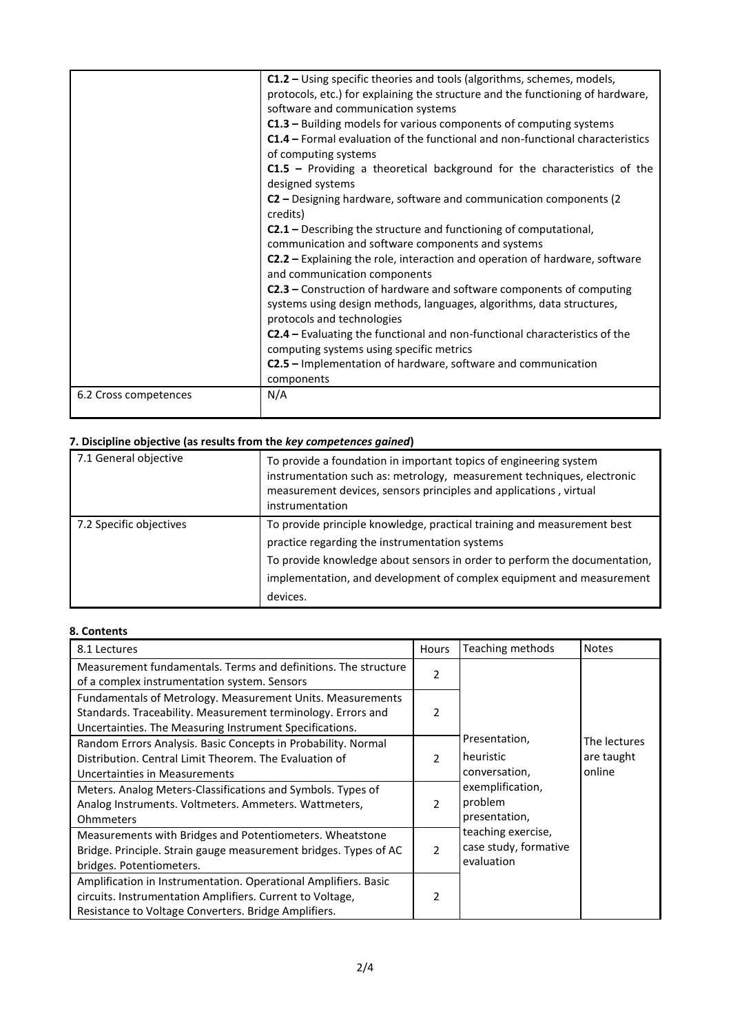|                       | C1.2 – Using specific theories and tools (algorithms, schemes, models,<br>protocols, etc.) for explaining the structure and the functioning of hardware,<br>software and communication systems<br>C1.3 - Building models for various components of computing systems<br><b>C1.4</b> – Formal evaluation of the functional and non-functional characteristics<br>of computing systems<br>$C1.5$ – Providing a theoretical background for the characteristics of the<br>designed systems<br>C2 – Designing hardware, software and communication components (2)<br>credits)<br><b>C2.1</b> – Describing the structure and functioning of computational,<br>communication and software components and systems<br><b>C2.2</b> – Explaining the role, interaction and operation of hardware, software<br>and communication components<br>C2.3 - Construction of hardware and software components of computing<br>systems using design methods, languages, algorithms, data structures,<br>protocols and technologies<br><b>C2.4</b> – Evaluating the functional and non-functional characteristics of the<br>computing systems using specific metrics<br>C2.5 - Implementation of hardware, software and communication<br>components |
|-----------------------|--------------------------------------------------------------------------------------------------------------------------------------------------------------------------------------------------------------------------------------------------------------------------------------------------------------------------------------------------------------------------------------------------------------------------------------------------------------------------------------------------------------------------------------------------------------------------------------------------------------------------------------------------------------------------------------------------------------------------------------------------------------------------------------------------------------------------------------------------------------------------------------------------------------------------------------------------------------------------------------------------------------------------------------------------------------------------------------------------------------------------------------------------------------------------------------------------------------------------------|
| 6.2 Cross competences | N/A                                                                                                                                                                                                                                                                                                                                                                                                                                                                                                                                                                                                                                                                                                                                                                                                                                                                                                                                                                                                                                                                                                                                                                                                                            |

## **7. Discipline objective (as results from the** *key competences gained***)**

| 7. Discipline objective (as results from the key competences guilleu) |                                                                                                                                                                                                                                                                                            |  |  |  |  |
|-----------------------------------------------------------------------|--------------------------------------------------------------------------------------------------------------------------------------------------------------------------------------------------------------------------------------------------------------------------------------------|--|--|--|--|
| 7.1 General objective                                                 | To provide a foundation in important topics of engineering system<br>instrumentation such as: metrology, measurement techniques, electronic<br>measurement devices, sensors principles and applications, virtual<br>instrumentation                                                        |  |  |  |  |
| 7.2 Specific objectives                                               | To provide principle knowledge, practical training and measurement best<br>practice regarding the instrumentation systems<br>To provide knowledge about sensors in order to perform the documentation,<br>implementation, and development of complex equipment and measurement<br>devices. |  |  |  |  |

### **8. Contents**

| 8.1 Lectures                                                                                                                                                                          | Hours          | Teaching methods                                          | <b>Notes</b>                         |
|---------------------------------------------------------------------------------------------------------------------------------------------------------------------------------------|----------------|-----------------------------------------------------------|--------------------------------------|
| Measurement fundamentals. Terms and definitions. The structure<br>of a complex instrumentation system. Sensors                                                                        | 2              |                                                           |                                      |
| Fundamentals of Metrology. Measurement Units. Measurements<br>Standards. Traceability. Measurement terminology. Errors and<br>Uncertainties. The Measuring Instrument Specifications. | $\mathcal{P}$  |                                                           |                                      |
| Random Errors Analysis. Basic Concepts in Probability. Normal<br>Distribution. Central Limit Theorem. The Evaluation of<br>Uncertainties in Measurements                              | $\mathcal{P}$  | Presentation,<br>heuristic<br>conversation,               | The lectures<br>are taught<br>online |
| Meters. Analog Meters-Classifications and Symbols. Types of<br>Analog Instruments. Voltmeters. Ammeters. Wattmeters,<br><b>Ohmmeters</b>                                              | $\mathcal{P}$  | exemplification,<br>problem<br>presentation,              |                                      |
| Measurements with Bridges and Potentiometers. Wheatstone<br>Bridge. Principle. Strain gauge measurement bridges. Types of AC<br>bridges. Potentiometers.                              | $\mathcal{P}$  | teaching exercise,<br>case study, formative<br>evaluation |                                      |
| Amplification in Instrumentation. Operational Amplifiers. Basic<br>circuits. Instrumentation Amplifiers. Current to Voltage,<br>Resistance to Voltage Converters. Bridge Amplifiers.  | $\mathfrak{p}$ |                                                           |                                      |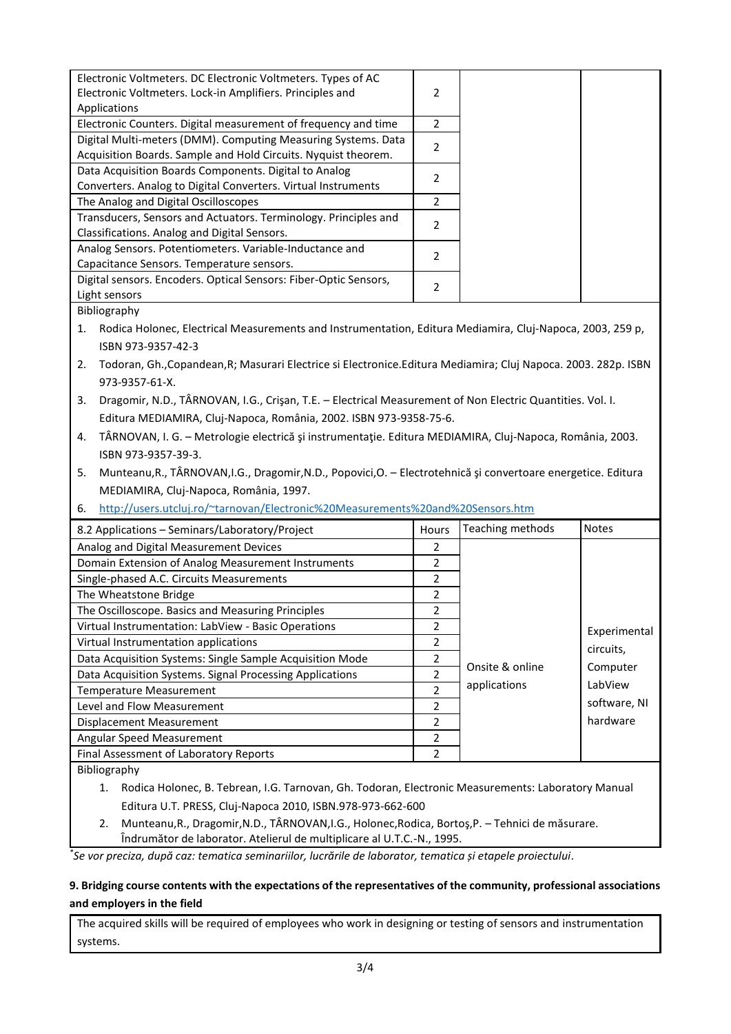| Electronic Voltmeters. DC Electronic Voltmeters. Types of AC     |                          |
|------------------------------------------------------------------|--------------------------|
| Electronic Voltmeters. Lock-in Amplifiers. Principles and        | 2                        |
| Applications                                                     |                          |
| Electronic Counters. Digital measurement of frequency and time   | 2                        |
| Digital Multi-meters (DMM). Computing Measuring Systems. Data    | $\overline{\phantom{a}}$ |
| Acquisition Boards. Sample and Hold Circuits. Nyquist theorem.   |                          |
| Data Acquisition Boards Components. Digital to Analog            | 2                        |
| Converters. Analog to Digital Converters. Virtual Instruments    |                          |
| The Analog and Digital Oscilloscopes                             | 2                        |
| Transducers, Sensors and Actuators. Terminology. Principles and  | 2                        |
| Classifications. Analog and Digital Sensors.                     |                          |
| Analog Sensors. Potentiometers. Variable-Inductance and          | $\overline{\phantom{a}}$ |
| Capacitance Sensors. Temperature sensors.                        |                          |
| Digital sensors. Encoders. Optical Sensors: Fiber-Optic Sensors, | 2                        |
| Light sensors                                                    |                          |

Bibliography

1. Rodica Holonec, Electrical Measurements and Instrumentation, Editura Mediamira, Cluj-Napoca, 2003, 259 p, ISBN 973-9357-42-3

- 2. Todoran, Gh.,Copandean,R; Masurari Electrice si Electronice.Editura Mediamira; Cluj Napoca. 2003. 282p. ISBN 973-9357-61-X.
- 3. Dragomir, N.D., TÂRNOVAN, I.G., Crişan, T.E. Electrical Measurement of Non Electric Quantities. Vol. I. Editura MEDIAMIRA, Cluj-Napoca, România, 2002. ISBN 973-9358-75-6.
- 4. TÂRNOVAN, I. G. Metrologie electrică şi instrumentaţie. Editura MEDIAMIRA, Cluj-Napoca, România, 2003. ISBN 973-9357-39-3.
- 5. Munteanu,R., TÂRNOVAN,I.G., Dragomir,N.D., Popovici,O. Electrotehnică şi convertoare energetice. Editura MEDIAMIRA, Cluj-Napoca, România, 1997.
- 6. <http://users.utcluj.ro/~tarnovan/Electronic%20Measurements%20and%20Sensors.htm>

| 8.2 Applications - Seminars/Laboratory/Project           | Hours                    | Teaching methods | <b>Notes</b> |
|----------------------------------------------------------|--------------------------|------------------|--------------|
| Analog and Digital Measurement Devices                   | 2                        |                  |              |
| Domain Extension of Analog Measurement Instruments       | 2                        |                  |              |
| Single-phased A.C. Circuits Measurements                 | 2                        |                  |              |
| The Wheatstone Bridge                                    | 2                        |                  |              |
| The Oscilloscope. Basics and Measuring Principles        | 2                        |                  |              |
| Virtual Instrumentation: LabView - Basic Operations      | $\overline{\phantom{a}}$ |                  | Experimental |
| Virtual Instrumentation applications                     | 2                        |                  | circuits,    |
| Data Acquisition Systems: Single Sample Acquisition Mode | 2                        |                  |              |
| Data Acquisition Systems. Signal Processing Applications | 2                        | Onsite & online  | Computer     |
| Temperature Measurement                                  | 2                        | applications     | LabView      |
| Level and Flow Measurement                               | $\overline{\phantom{a}}$ |                  | software, NI |
| Displacement Measurement                                 | 2                        |                  | hardware     |
| Angular Speed Measurement                                | $\overline{\phantom{a}}$ |                  |              |
| Final Assessment of Laboratory Reports                   | 2                        |                  |              |

Bibliography

- 1. Rodica Holonec, B. Tebrean, I.G. Tarnovan, Gh. Todoran, Electronic Measurements: Laboratory Manual Editura U.T. PRESS, Cluj-Napoca 2010, ISBN.978-973-662-600
- 2. Munteanu,R., Dragomir,N.D., TÂRNOVAN,I.G., Holonec,Rodica, Bortoş,P. Tehnici de măsurare. Îndrumător de laborator. Atelierul de multiplicare al U.T.C.-N., 1995.

*\* Se vor preciza, după caz: tematica seminariilor, lucrările de laborator, tematica și etapele proiectului.*

### **9. Bridging course contents with the expectations of the representatives of the community, professional associations and employers in the field**

The acquired skills will be required of employees who work in designing or testing of sensors and instrumentation systems.